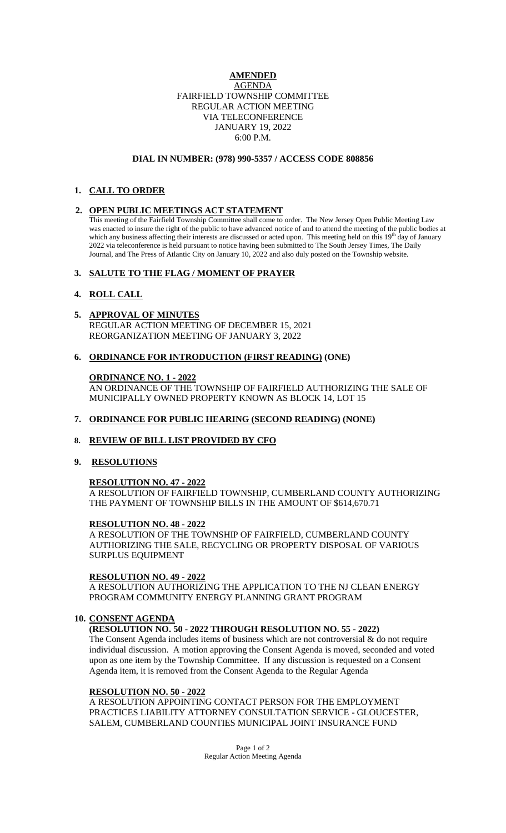### **AMENDED** AGENDA FAIRFIELD TOWNSHIP COMMITTEE REGULAR ACTION MEETING VIA TELECONFERENCE JANUARY 19, 2022 6:00 P.M.

#### **DIAL IN NUMBER: (978) 990-5357 / ACCESS CODE 808856**

# **1. CALL TO ORDER**

## **2. OPEN PUBLIC MEETINGS ACT STATEMENT**

This meeting of the Fairfield Township Committee shall come to order. The New Jersey Open Public Meeting Law was enacted to insure the right of the public to have advanced notice of and to attend the meeting of the public bodies at which any business affecting their interests are discussed or acted upon. This meeting held on this 19<sup>th</sup> day of January 2022 via teleconference is held pursuant to notice having been submitted to The South Jersey Times, The Daily Journal, and The Press of Atlantic City on January 10, 2022 and also duly posted on the Township website.

## **3. SALUTE TO THE FLAG / MOMENT OF PRAYER**

## **4. ROLL CALL**

# **5. APPROVAL OF MINUTES**

REGULAR ACTION MEETING OF DECEMBER 15, 2021 REORGANIZATION MEETING OF JANUARY 3, 2022

## **6. ORDINANCE FOR INTRODUCTION (FIRST READING) (ONE)**

## **ORDINANCE NO. 1 - 2022**

AN ORDINANCE OF THE TOWNSHIP OF FAIRFIELD AUTHORIZING THE SALE OF MUNICIPALLY OWNED PROPERTY KNOWN AS BLOCK 14, LOT 15

## **7. ORDINANCE FOR PUBLIC HEARING (SECOND READING) (NONE)**

## **8. REVIEW OF BILL LIST PROVIDED BY CFO**

## **9. RESOLUTIONS**

## **RESOLUTION NO. 47 - 2022**

A RESOLUTION OF FAIRFIELD TOWNSHIP, CUMBERLAND COUNTY AUTHORIZING THE PAYMENT OF TOWNSHIP BILLS IN THE AMOUNT OF \$614,670.71

## **RESOLUTION NO. 48 - 2022**

A RESOLUTION OF THE TOWNSHIP OF FAIRFIELD, CUMBERLAND COUNTY AUTHORIZING THE SALE, RECYCLING OR PROPERTY DISPOSAL OF VARIOUS SURPLUS EQUIPMENT

## **RESOLUTION NO. 49 - 2022**

A RESOLUTION AUTHORIZING THE APPLICATION TO THE NJ CLEAN ENERGY PROGRAM COMMUNITY ENERGY PLANNING GRANT PROGRAM

## **10. CONSENT AGENDA**

# **(RESOLUTION NO. 50 - 2022 THROUGH RESOLUTION NO. 55 - 2022)**

The Consent Agenda includes items of business which are not controversial & do not require individual discussion. A motion approving the Consent Agenda is moved, seconded and voted upon as one item by the Township Committee. If any discussion is requested on a Consent Agenda item, it is removed from the Consent Agenda to the Regular Agenda

#### **RESOLUTION NO. 50 - 2022**

A RESOLUTION APPOINTING CONTACT PERSON FOR THE EMPLOYMENT PRACTICES LIABILITY ATTORNEY CONSULTATION SERVICE - GLOUCESTER, SALEM, CUMBERLAND COUNTIES MUNICIPAL JOINT INSURANCE FUND

> Page 1 of 2 Regular Action Meeting Agenda